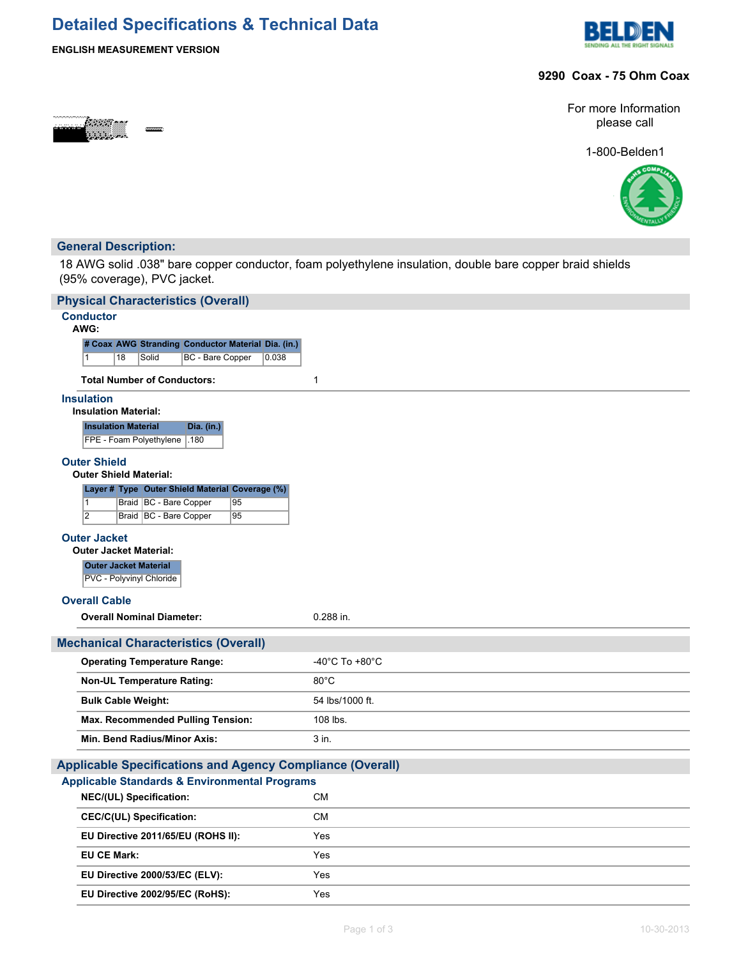## **Detailed Specifications & Technical Data**



### **ENGLISH MEASUREMENT VERSION**

### **9290 Coax - 75 Ohm Coax**



For more Information please call

1-800-Belden1



### **General Description:**

18 AWG solid .038" bare copper conductor, foam polyethylene insulation, double bare copper braid shields (95% coverage), PVC jacket.

| <b>Conductor</b>                                                                              |                                      |
|-----------------------------------------------------------------------------------------------|--------------------------------------|
| AWG:<br># Coax AWG Stranding Conductor Material Dia. (in.)                                    |                                      |
| 18<br>Solid<br>BC - Bare Copper<br>0.038<br>$\vert$ 1                                         |                                      |
| <b>Total Number of Conductors:</b>                                                            | $\mathbf{1}$                         |
| <b>Insulation</b><br><b>Insulation Material:</b>                                              |                                      |
| <b>Insulation Material</b><br>Dia. (in.)                                                      |                                      |
| FPE - Foam Polyethylene   .180                                                                |                                      |
| <b>Outer Shield</b>                                                                           |                                      |
| <b>Outer Shield Material:</b>                                                                 |                                      |
| Layer # Type Outer Shield Material Coverage (%)                                               |                                      |
| Braid   BC - Bare Copper<br>95<br>$\vert$ 1<br>$\overline{2}$<br>Braid BC - Bare Copper<br>95 |                                      |
|                                                                                               |                                      |
| <b>Outer Jacket</b><br><b>Outer Jacket Material:</b>                                          |                                      |
| <b>Outer Jacket Material</b>                                                                  |                                      |
| PVC - Polyvinyl Chloride                                                                      |                                      |
| <b>Overall Cable</b>                                                                          |                                      |
| <b>Overall Nominal Diameter:</b>                                                              | $0.288$ in.                          |
| <b>Mechanical Characteristics (Overall)</b>                                                   |                                      |
|                                                                                               |                                      |
| <b>Operating Temperature Range:</b>                                                           | -40 $^{\circ}$ C To +80 $^{\circ}$ C |
| <b>Non-UL Temperature Rating:</b>                                                             | $80^{\circ}$ C                       |
| <b>Bulk Cable Weight:</b>                                                                     | 54 lbs/1000 ft.                      |
| <b>Max. Recommended Pulling Tension:</b>                                                      | 108 lbs.                             |
| Min. Bend Radius/Minor Axis:                                                                  | 3 in.                                |
| <b>Applicable Specifications and Agency Compliance (Overall)</b>                              |                                      |
| <b>Applicable Standards &amp; Environmental Programs</b>                                      |                                      |
| NEC/(UL) Specification:                                                                       | <b>CM</b>                            |
| <b>CEC/C(UL) Specification:</b>                                                               | <b>CM</b>                            |
| EU Directive 2011/65/EU (ROHS II):                                                            | Yes                                  |
| <b>EU CE Mark:</b>                                                                            | Yes                                  |
| EU Directive 2000/53/EC (ELV):                                                                | Yes                                  |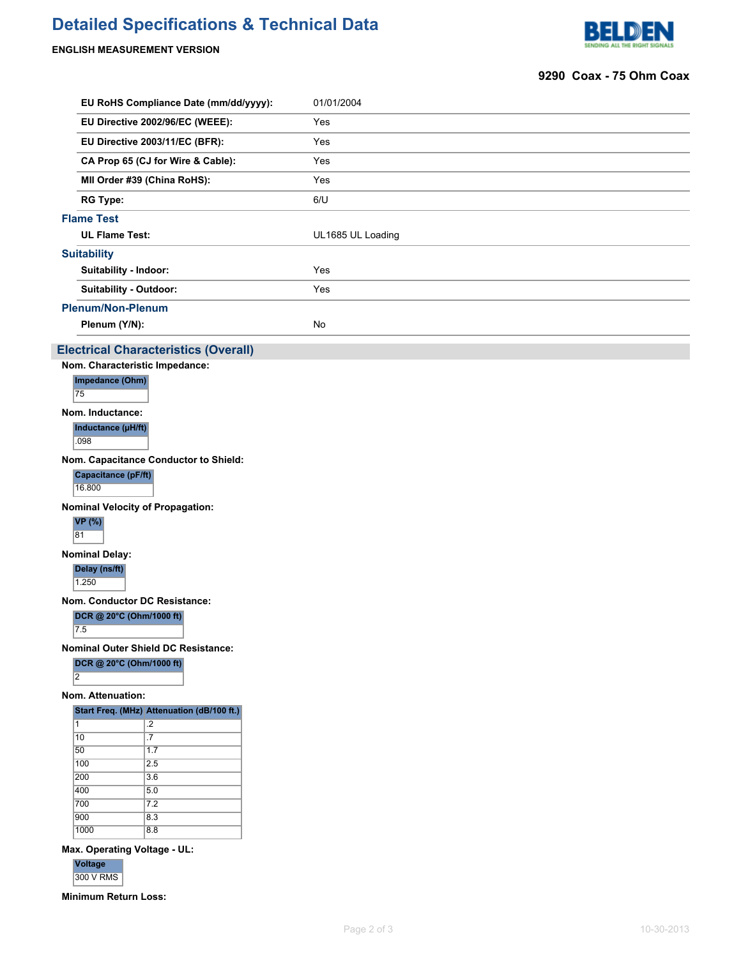# **Detailed Specifications & Technical Data**

### **ENGLISH MEASUREMENT VERSION**



### **9290 Coax - 75 Ohm Coax**

|                                   |                                            | EU RoHS Compliance Date (mm/dd/yyyy):       |  | 01/01/2004        |  |  |
|-----------------------------------|--------------------------------------------|---------------------------------------------|--|-------------------|--|--|
|                                   |                                            | EU Directive 2002/96/EC (WEEE):             |  | Yes               |  |  |
|                                   |                                            | EU Directive 2003/11/EC (BFR):              |  | Yes               |  |  |
| CA Prop 65 (CJ for Wire & Cable): |                                            |                                             |  | Yes               |  |  |
|                                   |                                            | MII Order #39 (China RoHS):                 |  | Yes               |  |  |
|                                   | <b>RG Type:</b>                            |                                             |  | 6/U               |  |  |
|                                   | <b>Flame Test</b>                          |                                             |  |                   |  |  |
|                                   | <b>UL Flame Test:</b>                      |                                             |  | UL1685 UL Loading |  |  |
|                                   | <b>Suitability</b>                         |                                             |  |                   |  |  |
|                                   | Suitability - Indoor:                      |                                             |  | Yes               |  |  |
|                                   | <b>Suitability - Outdoor:</b>              |                                             |  | Yes               |  |  |
|                                   | <b>Plenum/Non-Plenum</b>                   |                                             |  |                   |  |  |
|                                   | Plenum (Y/N):                              |                                             |  | No                |  |  |
|                                   |                                            |                                             |  |                   |  |  |
|                                   | Nom. Characteristic Impedance:             | <b>Electrical Characteristics (Overall)</b> |  |                   |  |  |
|                                   | Impedance (Ohm)                            |                                             |  |                   |  |  |
|                                   | 75                                         |                                             |  |                   |  |  |
|                                   | Nom. Inductance:                           |                                             |  |                   |  |  |
|                                   | Inductance (µH/ft)<br>.098                 |                                             |  |                   |  |  |
|                                   |                                            | Nom. Capacitance Conductor to Shield:       |  |                   |  |  |
|                                   | Capacitance (pF/ft)<br>16.800              |                                             |  |                   |  |  |
|                                   |                                            | <b>Nominal Velocity of Propagation:</b>     |  |                   |  |  |
|                                   | <b>VP</b> (%)<br>81                        |                                             |  |                   |  |  |
|                                   | <b>Nominal Delay:</b>                      |                                             |  |                   |  |  |
|                                   | Delay (ns/ft)<br>1.250                     |                                             |  |                   |  |  |
|                                   |                                            | Nom. Conductor DC Resistance:               |  |                   |  |  |
|                                   | DCR @ 20°C (Ohm/1000 ft)<br>7.5            |                                             |  |                   |  |  |
|                                   |                                            | Nominal Outer Shield DC Resistance:         |  |                   |  |  |
|                                   | DCR @ 20°C (Ohm/1000 ft)<br>$\overline{2}$ |                                             |  |                   |  |  |
|                                   | Nom. Attenuation:                          |                                             |  |                   |  |  |
|                                   |                                            | Start Freq. (MHz) Attenuation (dB/100 ft.)  |  |                   |  |  |
|                                   | 1                                          | $\mathbf{.2}$                               |  |                   |  |  |
|                                   | $ 10\rangle$<br>50                         | $\overline{.7}$<br>1.7                      |  |                   |  |  |
|                                   | 100                                        | 2.5                                         |  |                   |  |  |
|                                   | 200                                        | 3.6                                         |  |                   |  |  |
|                                   | 400                                        | 5.0                                         |  |                   |  |  |
|                                   | 700                                        | 7.2                                         |  |                   |  |  |
|                                   | 900                                        | 8.3                                         |  |                   |  |  |
|                                   | 1000                                       | 8.8                                         |  |                   |  |  |

### **Max. Operating Voltage - UL:**

**Voltage**

300 V RMS

**Minimum Return Loss:**